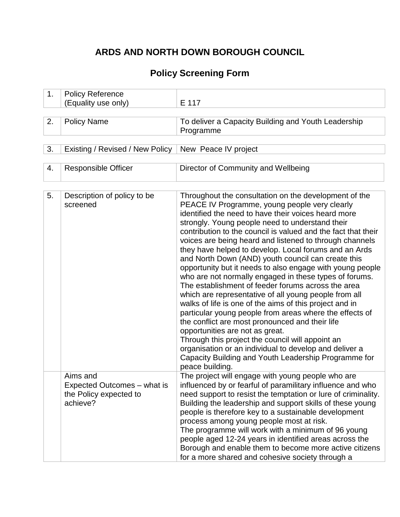# **ARDS AND NORTH DOWN BOROUGH COUNCIL**

# **Policy Screening Form**

| 1.             | <b>Policy Reference</b><br>(Equality use only) | E 117                                                                                                                                                                                                                                                                             |
|----------------|------------------------------------------------|-----------------------------------------------------------------------------------------------------------------------------------------------------------------------------------------------------------------------------------------------------------------------------------|
| 2.             | <b>Policy Name</b>                             | To deliver a Capacity Building and Youth Leadership                                                                                                                                                                                                                               |
|                |                                                | Programme                                                                                                                                                                                                                                                                         |
|                |                                                |                                                                                                                                                                                                                                                                                   |
| 3.             | Existing / Revised / New Policy                | New Peace IV project                                                                                                                                                                                                                                                              |
|                |                                                |                                                                                                                                                                                                                                                                                   |
| 4.             | <b>Responsible Officer</b>                     | Director of Community and Wellbeing                                                                                                                                                                                                                                               |
|                |                                                |                                                                                                                                                                                                                                                                                   |
| 5 <sub>1</sub> | Description of policy to be<br>screened        | Throughout the consultation on the development of the<br>PEACE IV Programme, young people very clearly<br>identified the need to have their voices heard more<br>strongly. Young people need to understand their<br>contribution to the council is valued and the fact that their |

|                                                                               | strongly. Young people need to understand their<br>contribution to the council is valued and the fact that their<br>voices are being heard and listened to through channels<br>they have helped to develop. Local forums and an Ards<br>and North Down (AND) youth council can create this<br>opportunity but it needs to also engage with young people<br>who are not normally engaged in these types of forums.<br>The establishment of feeder forums across the area<br>which are representative of all young people from all<br>walks of life is one of the aims of this project and in<br>particular young people from areas where the effects of<br>the conflict are most pronounced and their life<br>opportunities are not as great.<br>Through this project the council will appoint an<br>organisation or an individual to develop and deliver a<br>Capacity Building and Youth Leadership Programme for<br>peace building. |
|-------------------------------------------------------------------------------|---------------------------------------------------------------------------------------------------------------------------------------------------------------------------------------------------------------------------------------------------------------------------------------------------------------------------------------------------------------------------------------------------------------------------------------------------------------------------------------------------------------------------------------------------------------------------------------------------------------------------------------------------------------------------------------------------------------------------------------------------------------------------------------------------------------------------------------------------------------------------------------------------------------------------------------|
| Aims and<br>Expected Outcomes – what is<br>the Policy expected to<br>achieve? | The project will engage with young people who are<br>influenced by or fearful of paramilitary influence and who<br>need support to resist the temptation or lure of criminality.<br>Building the leadership and support skills of these young<br>people is therefore key to a sustainable development<br>process among young people most at risk.<br>The programme will work with a minimum of 96 young<br>people aged 12-24 years in identified areas across the<br>Borough and enable them to become more active citizens<br>for a more shared and cohesive society through a                                                                                                                                                                                                                                                                                                                                                       |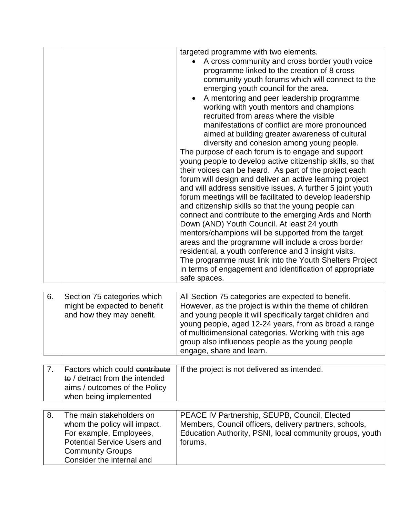|    |                                                                                                                                                       | targeted programme with two elements.<br>A cross community and cross border youth voice<br>programme linked to the creation of 8 cross<br>community youth forums which will connect to the<br>emerging youth council for the area.<br>A mentoring and peer leadership programme<br>working with youth mentors and champions<br>recruited from areas where the visible<br>manifestations of conflict are more pronounced<br>aimed at building greater awareness of cultural<br>diversity and cohesion among young people.<br>The purpose of each forum is to engage and support<br>young people to develop active citizenship skills, so that<br>their voices can be heard. As part of the project each<br>forum will design and deliver an active learning project<br>and will address sensitive issues. A further 5 joint youth<br>forum meetings will be facilitated to develop leadership<br>and citizenship skills so that the young people can<br>connect and contribute to the emerging Ards and North<br>Down (AND) Youth Council. At least 24 youth<br>mentors/champions will be supported from the target<br>areas and the programme will include a cross border<br>residential, a youth conference and 3 insight visits.<br>The programme must link into the Youth Shelters Project<br>in terms of engagement and identification of appropriate<br>safe spaces. |
|----|-------------------------------------------------------------------------------------------------------------------------------------------------------|---------------------------------------------------------------------------------------------------------------------------------------------------------------------------------------------------------------------------------------------------------------------------------------------------------------------------------------------------------------------------------------------------------------------------------------------------------------------------------------------------------------------------------------------------------------------------------------------------------------------------------------------------------------------------------------------------------------------------------------------------------------------------------------------------------------------------------------------------------------------------------------------------------------------------------------------------------------------------------------------------------------------------------------------------------------------------------------------------------------------------------------------------------------------------------------------------------------------------------------------------------------------------------------------------------------------------------------------------------------------------|
| 6. | Section 75 categories which<br>might be expected to benefit<br>and how they may benefit.                                                              | All Section 75 categories are expected to benefit.<br>However, as the project is within the theme of children<br>and young people it will specifically target children and<br>young people, aged 12-24 years, from as broad a range<br>of multidimensional categories. Working with this age<br>group also influences people as the young people<br>engage, share and learn.                                                                                                                                                                                                                                                                                                                                                                                                                                                                                                                                                                                                                                                                                                                                                                                                                                                                                                                                                                                              |
|    |                                                                                                                                                       |                                                                                                                                                                                                                                                                                                                                                                                                                                                                                                                                                                                                                                                                                                                                                                                                                                                                                                                                                                                                                                                                                                                                                                                                                                                                                                                                                                           |
| 7. | Factors which could contribute<br>to / detract from the intended<br>aims / outcomes of the Policy<br>when being implemented                           | If the project is not delivered as intended.                                                                                                                                                                                                                                                                                                                                                                                                                                                                                                                                                                                                                                                                                                                                                                                                                                                                                                                                                                                                                                                                                                                                                                                                                                                                                                                              |
| 8. | The main stakeholders on                                                                                                                              |                                                                                                                                                                                                                                                                                                                                                                                                                                                                                                                                                                                                                                                                                                                                                                                                                                                                                                                                                                                                                                                                                                                                                                                                                                                                                                                                                                           |
|    | whom the policy will impact.<br>For example, Employees,<br><b>Potential Service Users and</b><br><b>Community Groups</b><br>Consider the internal and | PEACE IV Partnership, SEUPB, Council, Elected<br>Members, Council officers, delivery partners, schools,<br>Education Authority, PSNI, local community groups, youth<br>forums.                                                                                                                                                                                                                                                                                                                                                                                                                                                                                                                                                                                                                                                                                                                                                                                                                                                                                                                                                                                                                                                                                                                                                                                            |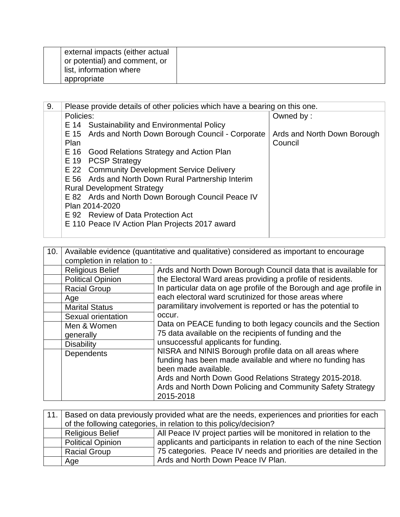| external impacts (either actual |  |
|---------------------------------|--|
| or potential) and comment, or   |  |
| list, information where         |  |
| appropriate                     |  |

| 9. | Please provide details of other policies which have a bearing on this one. |                             |  |
|----|----------------------------------------------------------------------------|-----------------------------|--|
|    | Policies:                                                                  | Owned by:                   |  |
|    | E 14 Sustainability and Environmental Policy                               |                             |  |
|    | E 15 Ards and North Down Borough Council - Corporate                       | Ards and North Down Borough |  |
|    | Plan                                                                       | Council                     |  |
|    | E 16 Good Relations Strategy and Action Plan                               |                             |  |
|    | E 19 PCSP Strategy                                                         |                             |  |
|    | E 22 Community Development Service Delivery                                |                             |  |
|    | E 56 Ards and North Down Rural Partnership Interim                         |                             |  |
|    | <b>Rural Development Strategy</b>                                          |                             |  |
|    | E 82 Ards and North Down Borough Council Peace IV                          |                             |  |
|    | Plan 2014-2020                                                             |                             |  |
|    | E 92 Review of Data Protection Act                                         |                             |  |
|    | E 110 Peace IV Action Plan Projects 2017 award                             |                             |  |
|    |                                                                            |                             |  |

| 10. | Available evidence (quantitative and qualitative) considered as important to encourage |                                                                     |  |
|-----|----------------------------------------------------------------------------------------|---------------------------------------------------------------------|--|
|     | completion in relation to:                                                             |                                                                     |  |
|     | <b>Religious Belief</b>                                                                | Ards and North Down Borough Council data that is available for      |  |
|     | <b>Political Opinion</b>                                                               | the Electoral Ward areas providing a profile of residents.          |  |
|     | <b>Racial Group</b>                                                                    | In particular data on age profile of the Borough and age profile in |  |
|     | Age                                                                                    | each electoral ward scrutinized for those areas where               |  |
|     | <b>Marital Status</b>                                                                  | paramilitary involvement is reported or has the potential to        |  |
|     | Sexual orientation                                                                     | occur.                                                              |  |
|     | Men & Women                                                                            | Data on PEACE funding to both legacy councils and the Section       |  |
|     | generally                                                                              | 75 data available on the recipients of funding and the              |  |
|     | <b>Disability</b>                                                                      | unsuccessful applicants for funding.                                |  |
|     | Dependents                                                                             | NISRA and NINIS Borough profile data on all areas where             |  |
|     |                                                                                        | funding has been made available and where no funding has            |  |
|     |                                                                                        | been made available.                                                |  |
|     |                                                                                        | Ards and North Down Good Relations Strategy 2015-2018.              |  |
|     |                                                                                        | Ards and North Down Policing and Community Safety Strategy          |  |
|     |                                                                                        | 2015-2018                                                           |  |

| 11.1 | Based on data previously provided what are the needs, experiences and priorities for each    |                                                                     |  |
|------|----------------------------------------------------------------------------------------------|---------------------------------------------------------------------|--|
|      | of the following categories, in relation to this policy/decision?                            |                                                                     |  |
|      | All Peace IV project parties will be monitored in relation to the<br><b>Religious Belief</b> |                                                                     |  |
|      | <b>Political Opinion</b>                                                                     | applicants and participants in relation to each of the nine Section |  |
|      | <b>Racial Group</b>                                                                          | 75 categories. Peace IV needs and priorities are detailed in the    |  |
|      | Age                                                                                          | Ards and North Down Peace IV Plan.                                  |  |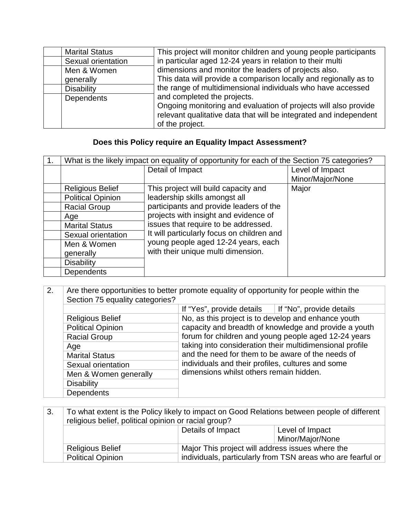| <b>Marital Status</b> |                    | This project will monitor children and young people participants  |
|-----------------------|--------------------|-------------------------------------------------------------------|
|                       | Sexual orientation | in particular aged 12-24 years in relation to their multi         |
| Men & Women           |                    | dimensions and monitor the leaders of projects also.              |
| generally             |                    | This data will provide a comparison locally and regionally as to  |
| <b>Disability</b>     |                    | the range of multidimensional individuals who have accessed       |
| <b>Dependents</b>     |                    | and completed the projects.                                       |
|                       |                    | Ongoing monitoring and evaluation of projects will also provide   |
|                       |                    | relevant qualitative data that will be integrated and independent |
|                       |                    | of the project.                                                   |

## **Does this Policy require an Equality Impact Assessment?**

| What is the likely impact on equality of opportunity for each of the Section 75 categories? |                                            |                  |
|---------------------------------------------------------------------------------------------|--------------------------------------------|------------------|
|                                                                                             | Detail of Impact                           | Level of Impact  |
|                                                                                             |                                            | Minor/Major/None |
| <b>Religious Belief</b>                                                                     | This project will build capacity and       | Major            |
| <b>Political Opinion</b>                                                                    | leadership skills amongst all              |                  |
| <b>Racial Group</b>                                                                         | participants and provide leaders of the    |                  |
| Age                                                                                         | projects with insight and evidence of      |                  |
| <b>Marital Status</b>                                                                       | issues that require to be addressed.       |                  |
| Sexual orientation                                                                          | It will particularly focus on children and |                  |
| Men & Women                                                                                 | young people aged 12-24 years, each        |                  |
| generally                                                                                   | with their unique multi dimension.         |                  |
| <b>Disability</b>                                                                           |                                            |                  |
| <b>Dependents</b>                                                                           |                                            |                  |

| 2. | Are there opportunities to better promote equality of opportunity for people within the<br>Section 75 equality categories? |                                                     |                                                          |
|----|----------------------------------------------------------------------------------------------------------------------------|-----------------------------------------------------|----------------------------------------------------------|
|    |                                                                                                                            | If "Yes", provide details                           | If "No", provide details                                 |
|    | <b>Religious Belief</b>                                                                                                    | No, as this project is to develop and enhance youth |                                                          |
|    | <b>Political Opinion</b>                                                                                                   |                                                     | capacity and breadth of knowledge and provide a youth    |
|    | <b>Racial Group</b>                                                                                                        |                                                     | forum for children and young people aged 12-24 years     |
|    | Age                                                                                                                        |                                                     | taking into consideration their multidimensional profile |
|    | <b>Marital Status</b>                                                                                                      | and the need for them to be aware of the needs of   |                                                          |
|    | Sexual orientation                                                                                                         | individuals and their profiles, cultures and some   |                                                          |
|    | Men & Women generally                                                                                                      | dimensions whilst others remain hidden.             |                                                          |
|    | <b>Disability</b>                                                                                                          |                                                     |                                                          |
|    | <b>Dependents</b>                                                                                                          |                                                     |                                                          |

| 3.                                                                                      | To what extent is the Policy likely to impact on Good Relations between people of different<br>religious belief, political opinion or racial group? |                                                  |                  |
|-----------------------------------------------------------------------------------------|-----------------------------------------------------------------------------------------------------------------------------------------------------|--------------------------------------------------|------------------|
|                                                                                         |                                                                                                                                                     | Details of Impact                                | Level of Impact  |
|                                                                                         |                                                                                                                                                     |                                                  | Minor/Major/None |
|                                                                                         | <b>Religious Belief</b>                                                                                                                             | Major This project will address issues where the |                  |
| individuals, particularly from TSN areas who are fearful or<br><b>Political Opinion</b> |                                                                                                                                                     |                                                  |                  |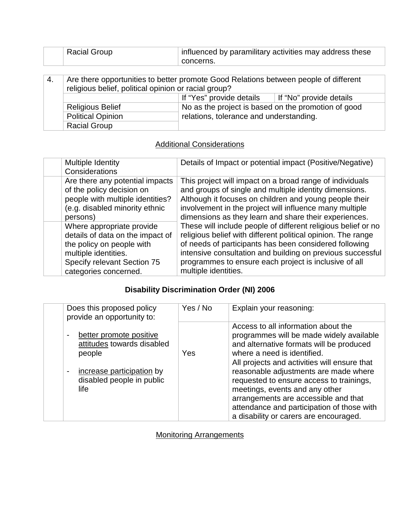| <b>Racial Group</b> | influenced by paramilitary activities may address these |
|---------------------|---------------------------------------------------------|
|                     | concerns.                                               |
|                     |                                                         |

| $-4.$                                                               | Are there opportunities to better promote Good Relations between people of different<br>religious belief, political opinion or racial group? |  |  |
|---------------------------------------------------------------------|----------------------------------------------------------------------------------------------------------------------------------------------|--|--|
|                                                                     | If "Yes" provide details<br>If "No" provide details                                                                                          |  |  |
|                                                                     | No as the project is based on the promotion of good<br><b>Religious Belief</b>                                                               |  |  |
| relations, tolerance and understanding.<br><b>Political Opinion</b> |                                                                                                                                              |  |  |
|                                                                     | <b>Racial Group</b>                                                                                                                          |  |  |

### **Additional Considerations**

| Multiple Identity<br>Considerations | Details of Impact or potential impact (Positive/Negative)     |
|-------------------------------------|---------------------------------------------------------------|
| Are there any potential impacts     | This project will impact on a broad range of individuals      |
| of the policy decision on           | and groups of single and multiple identity dimensions.        |
| people with multiple identities?    | Although it focuses on children and young people their        |
| (e.g. disabled minority ethnic      | involvement in the project will influence many multiple       |
| persons)                            | dimensions as they learn and share their experiences.         |
| Where appropriate provide           | These will include people of different religious belief or no |
| details of data on the impact of    | religious belief with different political opinion. The range  |
| the policy on people with           | of needs of participants has been considered following        |
| multiple identities.                | intensive consultation and building on previous successful    |
| Specify relevant Section 75         | programmes to ensure each project is inclusive of all         |
| categories concerned.               | multiple identities.                                          |

### **Disability Discrimination Order (NI) 2006**

| Does this proposed policy<br>provide an opportunity to:                                                                           | Yes / No | Explain your reasoning:                                                                                                                                                                                                                                                                                                                                                                                                                                           |
|-----------------------------------------------------------------------------------------------------------------------------------|----------|-------------------------------------------------------------------------------------------------------------------------------------------------------------------------------------------------------------------------------------------------------------------------------------------------------------------------------------------------------------------------------------------------------------------------------------------------------------------|
| better promote positive<br>attitudes towards disabled<br>people<br>increase participation by<br>disabled people in public<br>life | Yes      | Access to all information about the<br>programmes will be made widely available<br>and alternative formats will be produced<br>where a need is identified.<br>All projects and activities will ensure that<br>reasonable adjustments are made where<br>requested to ensure access to trainings,<br>meetings, events and any other<br>arrangements are accessible and that<br>attendance and participation of those with<br>a disability or carers are encouraged. |

Monitoring Arrangements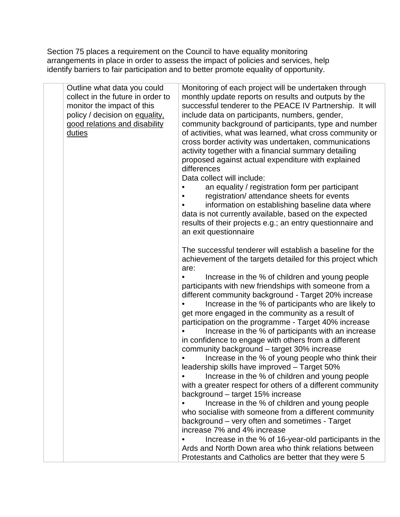Section 75 places a requirement on the Council to have equality monitoring arrangements in place in order to assess the impact of policies and services, help identify barriers to fair participation and to better promote equality of opportunity.

| Outline what data you could<br>collect in the future in order to<br>monitor the impact of this<br>policy / decision on equality,<br>good relations and disability<br>duties | Monitoring of each project will be undertaken through<br>monthly update reports on results and outputs by the<br>successful tenderer to the PEACE IV Partnership. It will<br>include data on participants, numbers, gender,<br>community background of participants, type and number<br>of activities, what was learned, what cross community or<br>cross border activity was undertaken, communications<br>activity together with a financial summary detailing<br>proposed against actual expenditure with explained<br>differences<br>Data collect will include:<br>an equality / registration form per participant<br>registration/ attendance sheets for events<br>information on establishing baseline data where<br>data is not currently available, based on the expected<br>results of their projects e.g.; an entry questionnaire and<br>an exit questionnaire |
|-----------------------------------------------------------------------------------------------------------------------------------------------------------------------------|--------------------------------------------------------------------------------------------------------------------------------------------------------------------------------------------------------------------------------------------------------------------------------------------------------------------------------------------------------------------------------------------------------------------------------------------------------------------------------------------------------------------------------------------------------------------------------------------------------------------------------------------------------------------------------------------------------------------------------------------------------------------------------------------------------------------------------------------------------------------------|
|                                                                                                                                                                             | The successful tenderer will establish a baseline for the<br>achievement of the targets detailed for this project which<br>are:                                                                                                                                                                                                                                                                                                                                                                                                                                                                                                                                                                                                                                                                                                                                          |
|                                                                                                                                                                             | Increase in the % of children and young people<br>participants with new friendships with someone from a<br>different community background - Target 20% increase<br>Increase in the % of participants who are likely to<br>get more engaged in the community as a result of<br>participation on the programme - Target 40% increase<br>Increase in the % of participants with an increase<br>in confidence to engage with others from a different<br>community background - target 30% increase<br>Increase in the % of young people who think their<br>leadership skills have improved - Target 50%<br>Increase in the % of children and young people<br>with a greater respect for others of a different community<br>background - target 15% increase<br>Increase in the % of children and young people<br>who socialise with someone from a different community       |
|                                                                                                                                                                             | background - very often and sometimes - Target<br>increase 7% and 4% increase<br>Increase in the % of 16-year-old participants in the<br>Ards and North Down area who think relations between<br>Protestants and Catholics are better that they were 5                                                                                                                                                                                                                                                                                                                                                                                                                                                                                                                                                                                                                   |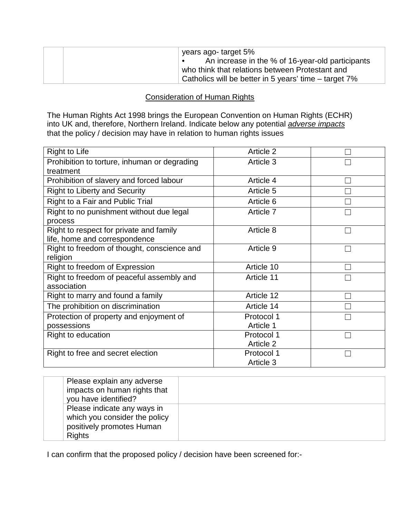| years ago- target 5%                                  |
|-------------------------------------------------------|
| An increase in the % of 16-year-old participants      |
| who think that relations between Protestant and       |
| Catholics will be better in 5 years' time – target 7% |

#### Consideration of Human Rights

The Human Rights Act 1998 brings the European Convention on Human Rights (ECHR) into UK and, therefore, Northern Ireland. Indicate below any potential *adverse impacts* that the policy / decision may have in relation to human rights issues

| Right to Life                                | Article 2  |        |
|----------------------------------------------|------------|--------|
| Prohibition to torture, inhuman or degrading | Article 3  |        |
| treatment                                    |            |        |
| Prohibition of slavery and forced labour     | Article 4  |        |
| <b>Right to Liberty and Security</b>         | Article 5  |        |
| Right to a Fair and Public Trial             | Article 6  |        |
| Right to no punishment without due legal     | Article 7  |        |
| process                                      |            |        |
| Right to respect for private and family      | Article 8  |        |
| life, home and correspondence                |            |        |
| Right to freedom of thought, conscience and  | Article 9  | $\Box$ |
| religion                                     |            |        |
| Right to freedom of Expression               | Article 10 |        |
| Right to freedom of peaceful assembly and    | Article 11 |        |
| association                                  |            |        |
| Right to marry and found a family            | Article 12 |        |
| The prohibition on discrimination            | Article 14 |        |
| Protection of property and enjoyment of      | Protocol 1 |        |
| possessions                                  | Article 1  |        |
| Right to education                           | Protocol 1 |        |
|                                              | Article 2  |        |
| Right to free and secret election            | Protocol 1 |        |
|                                              | Article 3  |        |

| Please explain any adverse<br>impacts on human rights that<br>you have identified?                         |  |
|------------------------------------------------------------------------------------------------------------|--|
| Please indicate any ways in<br>which you consider the policy<br>positively promotes Human<br><b>Rights</b> |  |

I can confirm that the proposed policy / decision have been screened for:-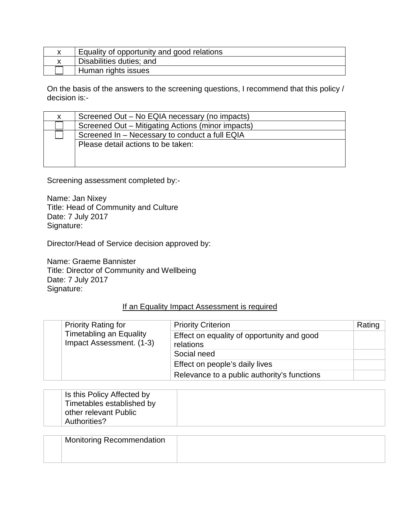| Equality of opportunity and good relations |  |
|--------------------------------------------|--|
| Disabilities duties; and                   |  |
| <sup>1</sup> Human rights issues           |  |

On the basis of the answers to the screening questions, I recommend that this policy / decision is:-

| Screened Out – No EQIA necessary (no impacts)     |
|---------------------------------------------------|
| Screened Out - Mitigating Actions (minor impacts) |
| Screened In - Necessary to conduct a full EQIA    |
| Please detail actions to be taken:                |
|                                                   |
|                                                   |

Screening assessment completed by:-

Name: Jan Nixey Title: Head of Community and Culture Date: 7 July 2017 Signature:

Director/Head of Service decision approved by:

Name: Graeme Bannister Title: Director of Community and Wellbeing Date: 7 July 2017 Signature:

#### If an Equality Impact Assessment is required

| <b>Priority Rating for</b>                          | <b>Priority Criterion</b>                               | Rating |
|-----------------------------------------------------|---------------------------------------------------------|--------|
| Timetabling an Equality<br>Impact Assessment. (1-3) | Effect on equality of opportunity and good<br>relations |        |
|                                                     | Social need                                             |        |
|                                                     | Effect on people's daily lives                          |        |
|                                                     | Relevance to a public authority's functions             |        |

| Is this Policy Affected by |  |
|----------------------------|--|
| Timetables established by  |  |
| other relevant Public      |  |
| Authorities?               |  |

| Monitoring Recommendation |  |
|---------------------------|--|
|                           |  |